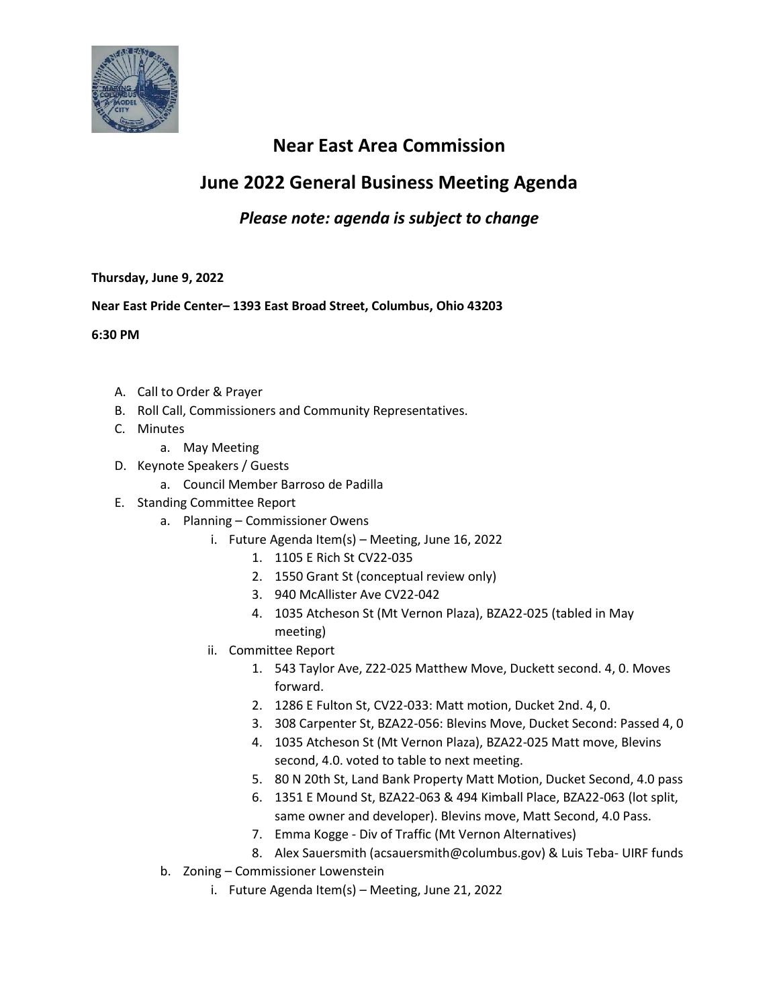

## **Near East Area Commission**

# **June 2022 General Business Meeting Agenda**

### *Please note: agenda is subject to change*

### **Thursday, June 9, 2022**

### **Near East Pride Center– 1393 East Broad Street, Columbus, Ohio 43203**

**6:30 PM**

- A. Call to Order & Prayer
- B. Roll Call, Commissioners and Community Representatives.
- C. Minutes
	- a. May Meeting
- D. Keynote Speakers / Guests
	- a. Council Member Barroso de Padilla
- E. Standing Committee Report
	- a. Planning Commissioner Owens
		- i. Future Agenda Item(s) Meeting, June 16, 2022
			- 1. 1105 E Rich St CV22-035
			- 2. 1550 Grant St (conceptual review only)
			- 3. 940 McAllister Ave CV22-042
			- 4. 1035 Atcheson St (Mt Vernon Plaza), BZA22-025 (tabled in May meeting)
		- ii. Committee Report
			- 1. 543 Taylor Ave, Z22-025 Matthew Move, Duckett second. 4, 0. Moves forward.
			- 2. 1286 E Fulton St, CV22-033: Matt motion, Ducket 2nd. 4, 0.
			- 3. 308 Carpenter St, BZA22-056: Blevins Move, Ducket Second: Passed 4, 0
			- 4. 1035 Atcheson St (Mt Vernon Plaza), BZA22-025 Matt move, Blevins second, 4.0. voted to table to next meeting.
			- 5. 80 N 20th St, Land Bank Property Matt Motion, Ducket Second, 4.0 pass
			- 6. 1351 E Mound St, BZA22-063 & 494 Kimball Place, BZA22-063 (lot split, same owner and developer). Blevins move, Matt Second, 4.0 Pass.
			- 7. Emma Kogge Div of Traffic (Mt Vernon Alternatives)
			- 8. Alex Sauersmith (acsauersmith@columbus.gov) & Luis Teba- UIRF funds
	- b. Zoning Commissioner Lowenstein
		- i. Future Agenda Item(s) Meeting, June 21, 2022